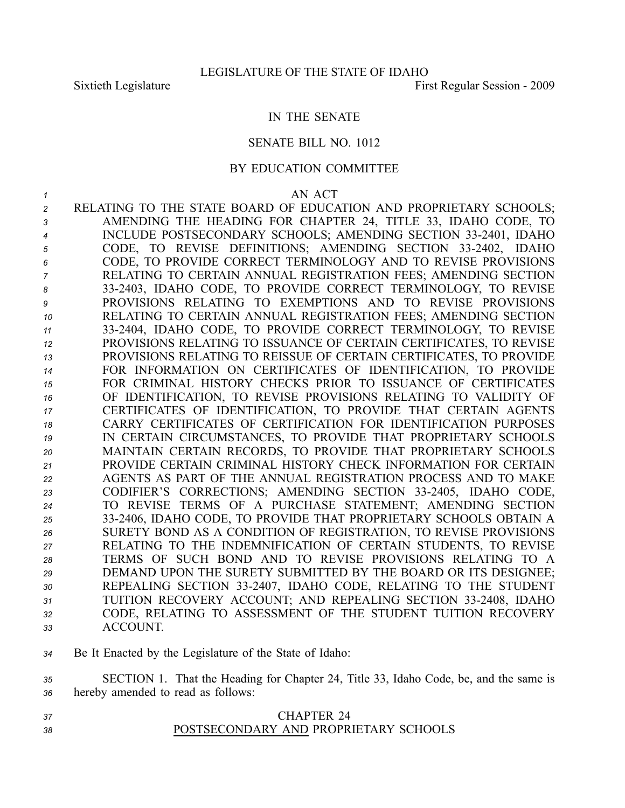## IN THE SENATE

## SENATE BILL NO. 1012

## BY EDUCATION COMMITTEE

- *1* AN ACT *<sup>2</sup>* RELATING TO THE STATE BOARD OF EDUCATION AND PROPRIETARY SCHOOLS; *<sup>3</sup>* AMENDING THE HEADING FOR CHAPTER 24, TITLE 33, IDAHO CODE, TO 4 INCLUDE POSTSECONDARY SCHOOLS; AMENDING SECTION 33-2401, IDAHO *<sup>5</sup>* CODE, TO REVISE DEFINITIONS; AMENDING SECTION 332402, IDAHO *<sup>6</sup>* CODE, TO PROVIDE CORRECT TERMINOLOGY AND TO REVISE PROVISIONS *<sup>7</sup>* RELATING TO CERTAIN ANNUAL REGISTRATION FEES; AMENDING SECTION *<sup>8</sup>* 332403, IDAHO CODE, TO PROVIDE CORRECT TERMINOLOGY, TO REVISE *9* PROVISIONS RELATING TO EXEMPTIONS AND TO REVISE PROVISIONS *<sup>10</sup>* RELATING TO CERTAIN ANNUAL REGISTRATION FEES; AMENDING SECTION *<sup>11</sup>* 332404, IDAHO CODE, TO PROVIDE CORRECT TERMINOLOGY, TO REVISE *<sup>12</sup>* PROVISIONS RELATING TO ISSUANCE OF CERTAIN CERTIFICATES, TO REVISE *<sup>13</sup>* PROVISIONS RELATING TO REISSUE OF CERTAIN CERTIFICATES, TO PROVIDE *<sup>14</sup>* FOR INFORMATION ON CERTIFICATES OF IDENTIFICATION, TO PROVIDE *15* FOR CRIMINAL HISTORY CHECKS PRIOR TO ISSUANCE OF CERTIFICATES *<sup>16</sup>* OF IDENTIFICATION, TO REVISE PROVISIONS RELATING TO VALIDITY OF *<sup>17</sup>* CERTIFICATES OF IDENTIFICATION, TO PROVIDE THAT CERTAIN AGENTS *18* CARRY CERTIFICATES OF CERTIFICATION FOR IDENTIFICATION PURPOSES *<sup>19</sup>* IN CERTAIN CIRCUMSTANCES, TO PROVIDE THAT PROPRIETARY SCHOOLS *<sup>20</sup>* MAINTAIN CERTAIN RECORDS, TO PROVIDE THAT PROPRIETARY SCHOOLS *<sup>21</sup>* PROVIDE CERTAIN CRIMINAL HISTORY CHECK INFORMATION FOR CERTAIN *<sup>22</sup>* AGENTS AS PART OF THE ANNUAL REGISTRATION PROCESS AND TO MAKE *<sup>23</sup>* CODIFIER'S CORRECTIONS; AMENDING SECTION 332405, IDAHO CODE, *<sup>24</sup>* TO REVISE TERMS OF A PURCHASE STATEMENT; AMENDING SECTION *<sup>25</sup>* 332406, IDAHO CODE, TO PROVIDE THAT PROPRIETARY SCHOOLS OBTAIN A *<sup>26</sup>* SURETY BOND AS A CONDITION OF REGISTRATION, TO REVISE PROVISIONS *<sup>27</sup>* RELATING TO THE INDEMNIFICATION OF CERTAIN STUDENTS, TO REVISE *28* TERMS OF SUCH BOND AND TO REVISE PROVISIONS RELATING TO A *<sup>29</sup>* DEMAND UPON THE SURETY SUBMITTED BY THE BOARD OR ITS DESIGNEE; *<sup>30</sup>* REPEALING SECTION 332407, IDAHO CODE, RELATING TO THE STUDENT 31 TUITION RECOVERY ACCOUNT; AND REPEALING SECTION 33-2408, IDAHO *<sup>32</sup>* CODE, RELATING TO ASSESSMENT OF THE STUDENT TUITION RECOVERY *33* ACCOUNT.
- *<sup>34</sup>* Be It Enacted by the Legislature of the State of Idaho:

*<sup>35</sup>* SECTION 1. That the Heading for Chapter 24, Title 33, Idaho Code, be, and the same is *<sup>36</sup>* hereby amended to read as follows:

*37* CHAPTER 24 *38* POSTSECONDARY AND PROPRIETARY SCHOOLS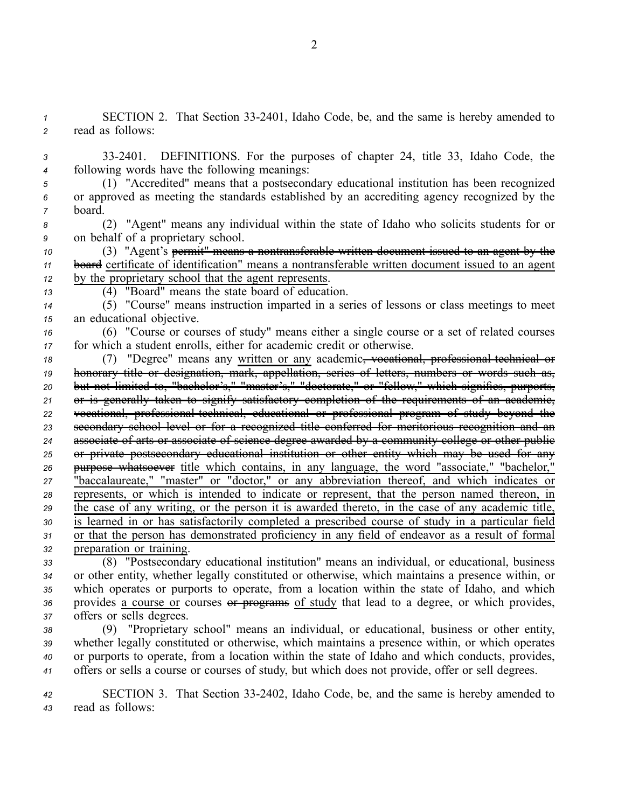*<sup>1</sup>* SECTION 2. That Section 332401, Idaho Code, be, and the same is hereby amended to *<sup>2</sup>* read as follows:

*<sup>3</sup>* 332401. DEFINITIONS. For the purposes of chapter 24, title 33, Idaho Code, the *<sup>4</sup>* following words have the following meanings:

*<sup>5</sup>* (1) "Accredited" means that <sup>a</sup> postsecondary educational institution has been recognized *<sup>6</sup>* or approved as meeting the standards established by an accrediting agency recognized by the *<sup>7</sup>* board.

*<sup>8</sup>* (2) "Agent" means any individual within the state of Idaho who solicits students for or *<sup>9</sup>* on behalf of <sup>a</sup> proprietary school.

*<sup>10</sup>* (3) "Agent's permit" means <sup>a</sup> nontransferable written document issued to an agen<sup>t</sup> by the *<sup>11</sup>* board certificate of identification" means <sup>a</sup> nontransferable written document issued to an agen<sup>t</sup> *<sup>12</sup>* by the proprietary school that the agen<sup>t</sup> represents.

*<sup>13</sup>* (4) "Board" means the state board of education.

*<sup>14</sup>* (5) "Course" means instruction imparted in <sup>a</sup> series of lessons or class meetings to meet *<sup>15</sup>* an educational objective.

*<sup>16</sup>* (6) "Course or courses of study" means either <sup>a</sup> single course or <sup>a</sup> set of related courses *<sup>17</sup>* for which <sup>a</sup> student enrolls, either for academic credit or otherwise.

18 (7) "Degree" means any written or any academic<del>, vocational, professional technical or</del> honorary title or designation, mark, appellation, series of letters, numbers or words such as, but not limited to, "bachelor's," "master's," "doctorate," or "fellow," which signifies, purports, or is generally taken to signify satisfactory completion of the requirements of an academic, 22 vocational, professional technical, educational or professional program of study beyond the secondary school level or for <sup>a</sup> recognized title conferred for meritorious recognition and an associate of arts or associate of science degree awarded by <sup>a</sup> community college or other public or private postsecondary educational institution or other entity which may be used for any purpose whatsoever title which contains, in any language, the word "associate," "bachelor," "baccalaureate," "master" or "doctor," or any abbreviation thereof, and which indicates or represents, or which is intended to indicate or represent, that the person named thereon, in the case of any writing, or the person it is awarded thereto, in the case of any academic title, is learned in or has satisfactorily completed <sup>a</sup> prescribed course of study in <sup>a</sup> particular field or that the person has demonstrated proficiency in any field of endeavor as <sup>a</sup> result of formal preparation or training.

 (8) "Postsecondary educational institution" means an individual, or educational, business or other entity, whether legally constituted or otherwise, which maintains <sup>a</sup> presence within, or which operates or purports to operate, from <sup>a</sup> location within the state of Idaho, and which provides <sup>a</sup> course or courses or programs of study that lead to <sup>a</sup> degree, or which provides, offers or sells degrees.

 (9) "Proprietary school" means an individual, or educational, business or other entity, whether legally constituted or otherwise, which maintains <sup>a</sup> presence within, or which operates or purports to operate, from <sup>a</sup> location within the state of Idaho and which conducts, provides, offers or sells <sup>a</sup> course or courses of study, but which does not provide, offer or sell degrees.

*<sup>42</sup>* SECTION 3. That Section 332402, Idaho Code, be, and the same is hereby amended to *<sup>43</sup>* read as follows: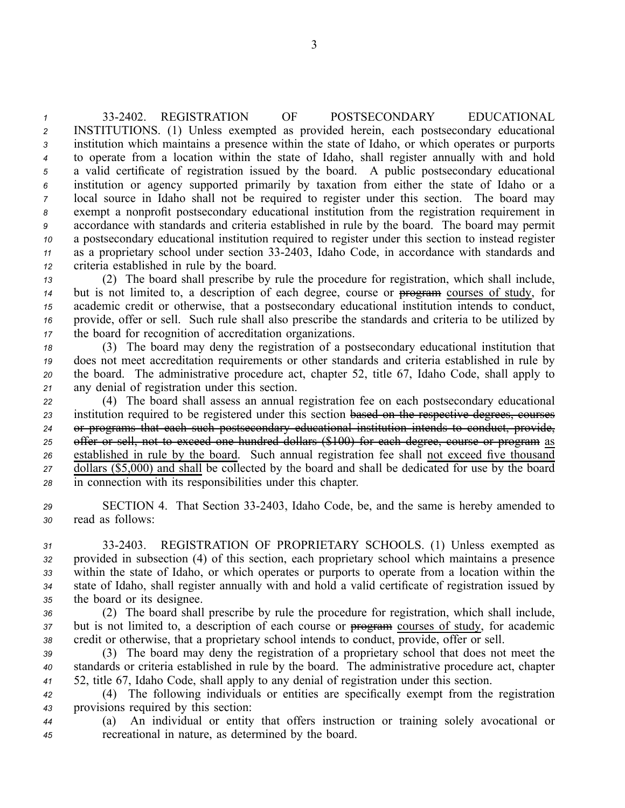332402. REGISTRATION OF POSTSECONDARY EDUCATIONAL INSTITUTIONS. (1) Unless exempted as provided herein, each postsecondary educational institution which maintains <sup>a</sup> presence within the state of Idaho, or which operates or purports to operate from <sup>a</sup> location within the state of Idaho, shall register annually with and hold <sup>a</sup> valid certificate of registration issued by the board. A public postsecondary educational institution or agency supported primarily by taxation from either the state of Idaho or <sup>a</sup> local source in Idaho shall not be required to register under this section. The board may exemp<sup>t</sup> <sup>a</sup> nonprofit postsecondary educational institution from the registration requirement in accordance with standards and criteria established in rule by the board. The board may permit <sup>a</sup> postsecondary educational institution required to register under this section to instead register 11 as a proprietary school under section 33-2403, Idaho Code, in accordance with standards and criteria established in rule by the board.

 (2) The board shall prescribe by rule the procedure for registration, which shall include, but is not limited to, <sup>a</sup> description of each degree, course or program courses of study, for academic credit or otherwise, that <sup>a</sup> postsecondary educational institution intends to conduct, provide, offer or sell. Such rule shall also prescribe the standards and criteria to be utilized by the board for recognition of accreditation organizations.

 (3) The board may deny the registration of <sup>a</sup> postsecondary educational institution that does not meet accreditation requirements or other standards and criteria established in rule by the board. The administrative procedure act, chapter 52, title 67, Idaho Code, shall apply to any denial of registration under this section.

 (4) The board shall assess an annual registration fee on each postsecondary educational institution required to be registered under this section based on the respective degrees, courses or programs that each such postsecondary educational institution intends to conduct, provide, offer or sell, not to exceed one hundred dollars (\$100) for each degree, course or program as established in rule by the board. Such annual registration fee shall not exceed five thousand dollars (\$5,000) and shall be collected by the board and shall be dedicated for use by the board in connection with its responsibilities under this chapter.

*<sup>29</sup>* SECTION 4. That Section 332403, Idaho Code, be, and the same is hereby amended to *<sup>30</sup>* read as follows:

 332403. REGISTRATION OF PROPRIETARY SCHOOLS. (1) Unless exempted as provided in subsection (4) of this section, each proprietary school which maintains <sup>a</sup> presence within the state of Idaho, or which operates or purports to operate from <sup>a</sup> location within the state of Idaho, shall register annually with and hold <sup>a</sup> valid certificate of registration issued by the board or its designee.

*<sup>36</sup>* (2) The board shall prescribe by rule the procedure for registration, which shall include, *<sup>37</sup>* but is not limited to, <sup>a</sup> description of each course or program courses of study, for academic *<sup>38</sup>* credit or otherwise, that <sup>a</sup> proprietary school intends to conduct, provide, offer or sell.

*<sup>39</sup>* (3) The board may deny the registration of <sup>a</sup> proprietary school that does not meet the *<sup>40</sup>* standards or criteria established in rule by the board. The administrative procedure act, chapter *<sup>41</sup>* 52, title 67, Idaho Code, shall apply to any denial of registration under this section.

*<sup>42</sup>* (4) The following individuals or entities are specifically exemp<sup>t</sup> from the registration *<sup>43</sup>* provisions required by this section:

*<sup>44</sup>* (a) An individual or entity that offers instruction or training solely avocational or *<sup>45</sup>* recreational in nature, as determined by the board.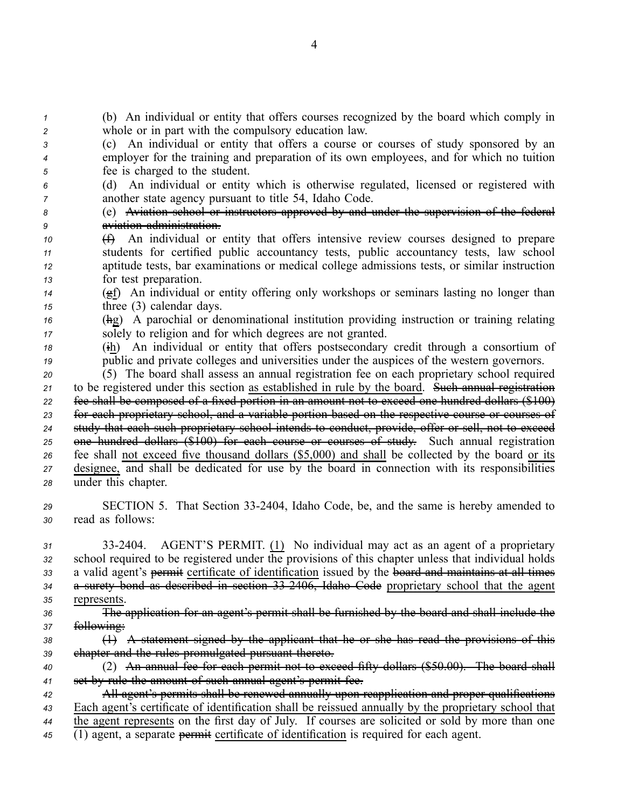*<sup>1</sup>* (b) An individual or entity that offers courses recognized by the board which comply in *<sup>2</sup>* whole or in par<sup>t</sup> with the compulsory education law.

- *<sup>3</sup>* (c) An individual or entity that offers <sup>a</sup> course or courses of study sponsored by an *<sup>4</sup>* employer for the training and preparation of its own employees, and for which no tuition *<sup>5</sup>* fee is charged to the student.
- *<sup>6</sup>* (d) An individual or entity which is otherwise regulated, licensed or registered with *<sup>7</sup>* another state agency pursuan<sup>t</sup> to title 54, Idaho Code.
- *<sup>8</sup>* (e) Aviation school or instructors approved by and under the supervision of the federal *<sup>9</sup>* aviation administration.
- *<sup>10</sup>* (f) An individual or entity that offers intensive review courses designed to prepare *<sup>11</sup>* students for certified public accountancy tests, public accountancy tests, law school *<sup>12</sup>* aptitude tests, bar examinations or medical college admissions tests, or similar instruction *<sup>13</sup>* for test preparation.
- *<sup>14</sup>* (gf) An individual or entity offering only workshops or seminars lasting no longer than *<sup>15</sup>* three (3) calendar days.
- *<sup>16</sup>* (hg) A parochial or denominational institution providing instruction or training relating *<sup>17</sup>* solely to religion and for which degrees are not granted.
- *<sup>18</sup>* (ih) An individual or entity that offers postsecondary credit through <sup>a</sup> consortium of *<sup>19</sup>* public and private colleges and universities under the auspices of the western governors.
- *<sup>20</sup>* (5) The board shall assess an annual registration fee on each proprietary school required *<sup>21</sup>* to be registered under this section as established in rule by the board. Such annual registration *<sup>22</sup>* fee shall be composed of <sup>a</sup> fixed portion in an amount not to exceed one hundred dollars (\$100) *<sup>23</sup>* for each proprietary school, and <sup>a</sup> variable portion based on the respective course or courses of *<sup>24</sup>* study that each such proprietary school intends to conduct, provide, offer or sell, not to exceed *<sup>25</sup>* one hundred dollars (\$100) for each course or courses of study. Such annual registration *<sup>26</sup>* fee shall not exceed five thousand dollars (\$5,000) and shall be collected by the board or its *<sup>27</sup>* designee, and shall be dedicated for use by the board in connection with its responsibilities *<sup>28</sup>* under this chapter.
- *<sup>29</sup>* SECTION 5. That Section 332404, Idaho Code, be, and the same is hereby amended to *<sup>30</sup>* read as follows:
- *<sup>31</sup>* 332404. AGENT'S PERMIT. (1) No individual may act as an agen<sup>t</sup> of <sup>a</sup> proprietary *<sup>32</sup>* school required to be registered under the provisions of this chapter unless that individual holds *<sup>33</sup>* <sup>a</sup> valid agent's permit certificate of identification issued by the board and maintains at all times *<sup>34</sup>* <sup>a</sup> surety bond as described in section 332406, Idaho Code proprietary school that the agen<sup>t</sup> *<sup>35</sup>* represents.
- *<sup>36</sup>* The application for an agent's permit shall be furnished by the board and shall include the *<sup>37</sup>* following:
- *<sup>38</sup>* (1) A statement signed by the applicant that he or she has read the provisions of this *<sup>39</sup>* chapter and the rules promulgated pursuan<sup>t</sup> thereto.
- *<sup>40</sup>* (2) An annual fee for each permit not to exceed fifty dollars (\$50.00). The board shall *<sup>41</sup>* set by rule the amount of such annual agent's permit fee.
- *<sup>42</sup>* All agent's permits shall be renewed annually upon reapplication and proper qualifications *<sup>43</sup>* Each agent's certificate of identification shall be reissued annually by the proprietary school that *<sup>44</sup>* the agen<sup>t</sup> represents on the first day of July. If courses are solicited or sold by more than one *<sup>45</sup>* (1) agent, <sup>a</sup> separate permit certificate of identification is required for each agent.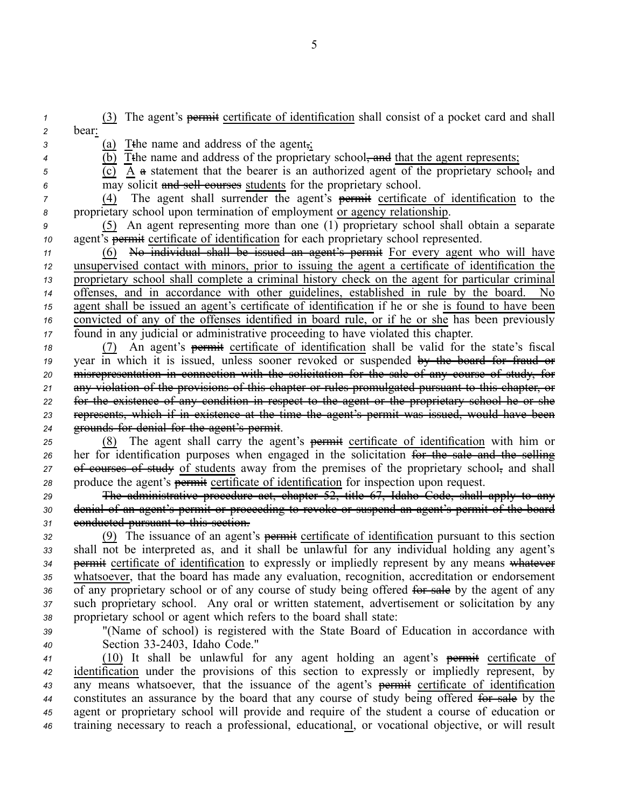*<sup>1</sup>* (3) The agent's permit certificate of identification shall consist of <sup>a</sup> pocket card and shall *<sup>2</sup>* bear:

- *<sup>3</sup>* (a) Tthe name and address of the agent,;
- $\overline{(\mathbf{b})}$  Tthe name and address of the proprietary school<del>, and</del> that the agent represents;
- 
- *<sup>5</sup>* (c) A <sup>a</sup> statement that the bearer is an authorized agen<sup>t</sup> of the proprietary school, and *<sup>6</sup>* may solicit and sell courses students for the proprietary school.
- 

*<sup>7</sup>* (4) The agen<sup>t</sup> shall surrender the agent's permit certificate of identification to the *<sup>8</sup>* proprietary school upon termination of employment or agency relationship.

*<sup>9</sup>* (5) An agen<sup>t</sup> representing more than one (1) proprietary school shall obtain <sup>a</sup> separate *<sup>10</sup>* agent's permit certificate of identification for each proprietary school represented.

 (6) No individual shall be issued an agent's permit For every agen<sup>t</sup> who will have unsupervised contact with minors, prior to issuing the agen<sup>t</sup> <sup>a</sup> certificate of identification the proprietary school shall complete <sup>a</sup> criminal history check on the agen<sup>t</sup> for particular criminal offenses, and in accordance with other guidelines, established in rule by the board. No agen<sup>t</sup> shall be issued an agent's certificate of identification if he or she is found to have been convicted of any of the offenses identified in board rule, or if he or she has been previously found in any judicial or administrative proceeding to have violated this chapter.

18 (7) An agent's permit certificate of identification shall be valid for the state's fiscal year in which it is issued, unless sooner revoked or suspended by the board for fraud or misrepresentation in connection with the solicitation for the sale of any course of study, for any violation of the provisions of this chapter or rules promulgated pursuan<sup>t</sup> to this chapter, or for the existence of any condition in respec<sup>t</sup> to the agen<sup>t</sup> or the proprietary school he or she represents, which if in existence at the time the agent's permit was issued, would have been grounds for denial for the agent's permit.

*<sup>25</sup>* (8) The agen<sup>t</sup> shall carry the agent's permit certificate of identification with him or 26 her for identification purposes when engaged in the solicitation for the sale and the selling 27 of courses of study of students away from the premises of the proprietary school, and shall 28 produce the agent's permit certificate of identification for inspection upon request.

*<sup>29</sup>* The administrative procedure act, chapter 52, title 67, Idaho Code, shall apply to any *<sup>30</sup>* denial of an agent's permit or proceeding to revoke or suspend an agent's permit of the board *<sup>31</sup>* conducted pursuan<sup>t</sup> to this section.

 (9) The issuance of an agent's permit certificate of identification pursuan<sup>t</sup> to this section shall not be interpreted as, and it shall be unlawful for any individual holding any agent's permit certificate of identification to expressly or impliedly represen<sup>t</sup> by any means whatever whatsoever, that the board has made any evaluation, recognition, accreditation or endorsement 36 of any proprietary school or of any course of study being offered for sale by the agent of any such proprietary school. Any oral or written statement, advertisement or solicitation by any proprietary school or agen<sup>t</sup> which refers to the board shall state:

*<sup>39</sup>* "(Name of school) is registered with the State Board of Education in accordance with *<sup>40</sup>* Section 332403, Idaho Code."

 (10) It shall be unlawful for any agen<sup>t</sup> holding an agent's permit certificate of identification under the provisions of this section to expressly or impliedly represent, by any means whatsoever, that the issuance of the agent's permit certificate of identification constitutes an assurance by the board that any course of study being offered for sale by the agen<sup>t</sup> or proprietary school will provide and require of the student <sup>a</sup> course of education or training necessary to reach <sup>a</sup> professional, educational, or vocational objective, or will result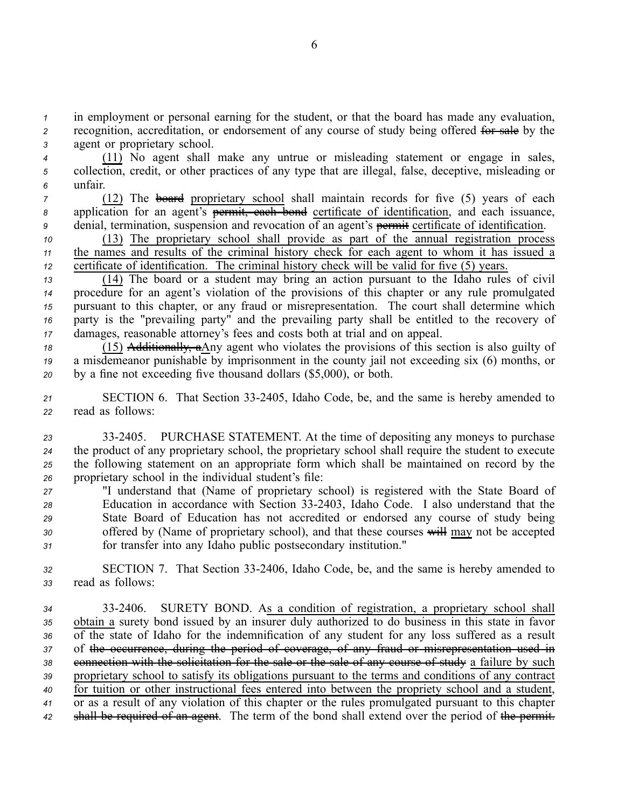*<sup>1</sup>* in employment or personal earning for the student, or that the board has made any evaluation, *<sup>2</sup>* recognition, accreditation, or endorsement of any course of study being offered for sale by the *<sup>3</sup>* agen<sup>t</sup> or proprietary school.

*<sup>4</sup>* (11) No agen<sup>t</sup> shall make any untrue or misleading statement or engage in sales, *<sup>5</sup>* collection, credit, or other practices of any type that are illegal, false, deceptive, misleading or *<sup>6</sup>* unfair.

*7* (12) The board proprietary school shall maintain records for five (5) years of each *<sup>8</sup>* application for an agent's permit, each bond certificate of identification, and each issuance, *<sup>9</sup>* denial, termination, suspension and revocation of an agent's permit certificate of identification.

*<sup>10</sup>* (13) The proprietary school shall provide as par<sup>t</sup> of the annual registration process *<sup>11</sup>* the names and results of the criminal history check for each agen<sup>t</sup> to whom it has issued <sup>a</sup> *<sup>12</sup>* certificate of identification. The criminal history check will be valid for five (5) years.

 (14) The board or <sup>a</sup> student may bring an action pursuan<sup>t</sup> to the Idaho rules of civil procedure for an agent's violation of the provisions of this chapter or any rule promulgated pursuan<sup>t</sup> to this chapter, or any fraud or misrepresentation. The court shall determine which party is the "prevailing party" and the prevailing party shall be entitled to the recovery of damages, reasonable attorney's fees and costs both at trial and on appeal.

*<sup>18</sup>* (15) Additionally, aAny agen<sup>t</sup> who violates the provisions of this section is also guilty of *<sup>19</sup>* <sup>a</sup> misdemeanor punishable by imprisonment in the county jail not exceeding six (6) months, or *<sup>20</sup>* by <sup>a</sup> fine not exceeding five thousand dollars (\$5,000), or both.

21 SECTION 6. That Section 33-2405, Idaho Code, be, and the same is hereby amended to *<sup>22</sup>* read as follows:

 332405. PURCHASE STATEMENT. At the time of depositing any moneys to purchase the product of any proprietary school, the proprietary school shall require the student to execute the following statement on an appropriate form which shall be maintained on record by the proprietary school in the individual student's file:

 "I understand that (Name of proprietary school) is registered with the State Board of Education in accordance with Section 332403, Idaho Code. I also understand that the State Board of Education has not accredited or endorsed any course of study being offered by (Name of proprietary school), and that these courses will may not be accepted for transfer into any Idaho public postsecondary institution."

32 SECTION 7. That Section 33-2406, Idaho Code, be, and the same is hereby amended to *<sup>33</sup>* read as follows:

 332406. SURETY BOND. As <sup>a</sup> condition of registration, <sup>a</sup> proprietary school shall obtain <sup>a</sup> surety bond issued by an insurer duly authorized to do business in this state in favor of the state of Idaho for the indemnification of any student for any loss suffered as <sup>a</sup> result of the occurrence, during the period of coverage, of any fraud or misrepresentation used in connection with the solicitation for the sale or the sale of any course of study <sup>a</sup> failure by such proprietary school to satisfy its obligations pursuan<sup>t</sup> to the terms and conditions of any contract for tuition or other instructional fees entered into between the propriety school and <sup>a</sup> student, or as <sup>a</sup> result of any violation of this chapter or the rules promulgated pursuan<sup>t</sup> to this chapter shall be required of an agent. The term of the bond shall extend over the period of the permit.